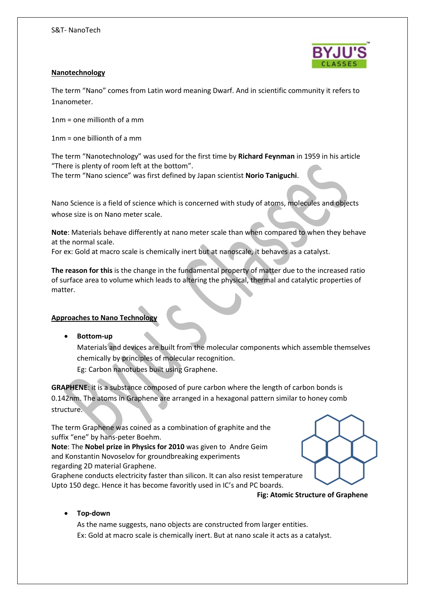

# **Nanotechnology**

The term "Nano" comes from Latin word meaning Dwarf. And in scientific community it refers to 1nanometer.

1nm = one millionth of a mm

1nm = one billionth of a mm

The term "Nanotechnology" was used for the first time by **Richard Feynman** in 1959 in his article "There is plenty of room left at the bottom".

The term "Nano science" was first defined by Japan scientist **Norio Taniguchi**.

Nano Science is a field of science which is concerned with study of atoms, molecules and objects whose size is on Nano meter scale.

**Note**: Materials behave differently at nano meter scale than when compared to when they behave at the normal scale.

For ex: Gold at macro scale is chemically inert but at nanoscale, it behaves as a catalyst.

**The reason for this** is the change in the fundamental property of matter due to the increased ratio of surface area to volume which leads to altering the physical, thermal and catalytic properties of matter.

# **Approaches to Nano Technology**

**Bottom-up**

Materials and devices are built from the molecular components which assemble themselves chemically by principles of molecular recognition.

Eg: Carbon nanotubes built using Graphene.

**GRAPHENE**: it is a substance composed of pure carbon where the length of carbon bonds is 0.142nm. The atoms in Graphene are arranged in a hexagonal pattern similar to honey comb structure.

The term Graphene was coined as a combination of graphite and the suffix "ene" by hans-peter Boehm.

**Note**: The **Nobel prize in Physics for 2010** was given to Andre Geim and Konstantin Novoselov for groundbreaking experiments regarding 2D material Graphene.

Graphene conducts electricity faster than silicon. It can also resist temperature Upto 150 degc. Hence it has become favoritly used in IC's and PC boards.

**Fig: Atomic Structure of Graphene**

# **Top-down**

As the name suggests, nano objects are constructed from larger entities. Ex: Gold at macro scale is chemically inert. But at nano scale it acts as a catalyst.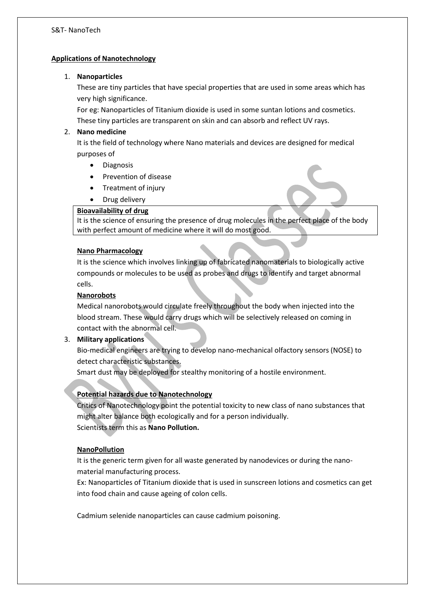#### S&T- NanoTech

#### **Applications of Nanotechnology**

#### 1. **Nanoparticles**

These are tiny particles that have special properties that are used in some areas which has very high significance.

For eg: Nanoparticles of Titanium dioxide is used in some suntan lotions and cosmetics. These tiny particles are transparent on skin and can absorb and reflect UV rays.

### 2. **Nano medicine**

It is the field of technology where Nano materials and devices are designed for medical purposes of

- Diagnosis
- Prevention of disease
- Treatment of injury
- Drug delivery

# **Bioavailability of drug**

It is the science of ensuring the presence of drug molecules in the perfect place of the body with perfect amount of medicine where it will do most good.

#### **Nano Pharmacology**

It is the science which involves linking up of fabricated nanomaterials to biologically active compounds or molecules to be used as probes and drugs to identify and target abnormal cells.

#### **Nanorobots**

Medical nanorobots would circulate freely throughout the body when injected into the blood stream. These would carry drugs which will be selectively released on coming in contact with the abnormal cell.

# 3. **Military applications**

Bio-medical engineers are trying to develop nano-mechanical olfactory sensors (NOSE) to detect characteristic substances.

Smart dust may be deployed for stealthy monitoring of a hostile environment.

# **Potential hazards due to Nanotechnology**

Critics of Nanotechnology point the potential toxicity to new class of nano substances that might alter balance both ecologically and for a person individually. Scientists term this as **Nano Pollution.**

#### **NanoPollution**

It is the generic term given for all waste generated by nanodevices or during the nanomaterial manufacturing process.

Ex: Nanoparticles of Titanium dioxide that is used in sunscreen lotions and cosmetics can get into food chain and cause ageing of colon cells.

Cadmium selenide nanoparticles can cause cadmium poisoning.